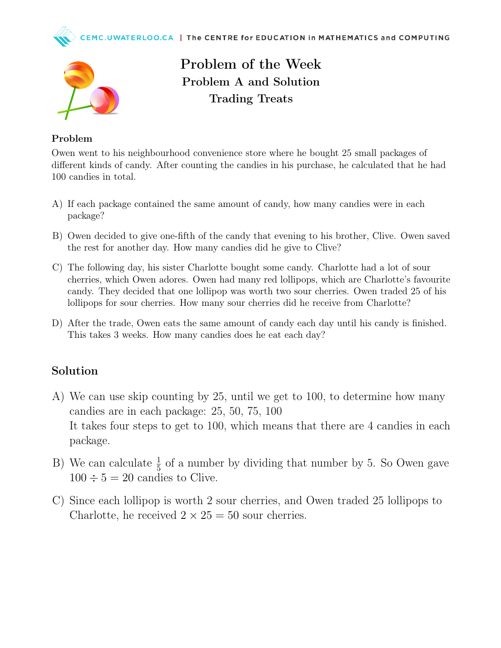



Problem of the Week Problem A and Solution Trading Treats

## Problem

Owen went to his neighbourhood convenience store where he bought 25 small packages of different kinds of candy. After counting the candies in his purchase, he calculated that he had 100 candies in total.

- A) If each package contained the same amount of candy, how many candies were in each package?
- B) Owen decided to give one-fifth of the candy that evening to his brother, Clive. Owen saved the rest for another day. How many candies did he give to Clive?
- C) The following day, his sister Charlotte bought some candy. Charlotte had a lot of sour cherries, which Owen adores. Owen had many red lollipops, which are Charlotte's favourite candy. They decided that one lollipop was worth two sour cherries. Owen traded 25 of his lollipops for sour cherries. How many sour cherries did he receive from Charlotte?
- D) After the trade, Owen eats the same amount of candy each day until his candy is finished. This takes 3 weeks. How many candies does he eat each day?

## Solution

- A) We can use skip counting by 25, until we get to 100, to determine how many candies are in each package: 25, 50, 75, 100 It takes four steps to get to 100, which means that there are 4 candies in each package.
- B) We can calculate  $\frac{1}{5}$  of a number by dividing that number by 5. So Owen gave  $100 \div 5 = 20$  candies to Clive.
- C) Since each lollipop is worth 2 sour cherries, and Owen traded 25 lollipops to Charlotte, he received  $2 \times 25 = 50$  sour cherries.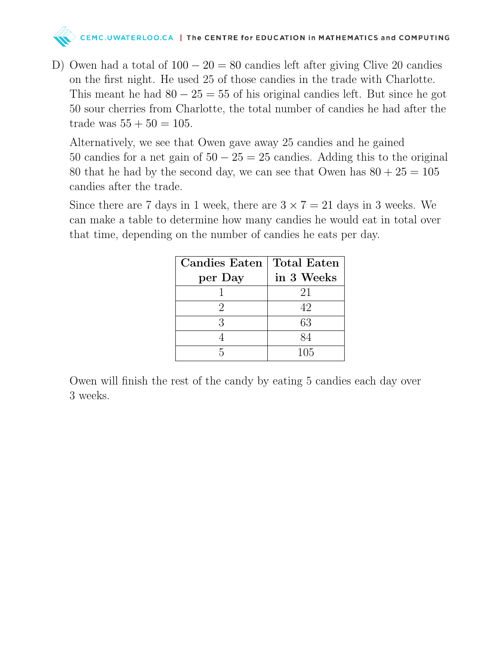

D) Owen had a total of  $100 - 20 = 80$  candies left after giving Clive 20 candies on the first night. He used 25 of those candies in the trade with Charlotte. This meant he had  $80 - 25 = 55$  of his original candies left. But since he got 50 sour cherries from Charlotte, the total number of candies he had after the trade was  $55 + 50 = 105$ .

Alternatively, we see that Owen gave away 25 candies and he gained 50 candies for a net gain of  $50 - 25 = 25$  candies. Adding this to the original 80 that he had by the second day, we can see that Owen has  $80 + 25 = 105$ candies after the trade.

Since there are 7 days in 1 week, there are  $3 \times 7 = 21$  days in 3 weeks. We can make a table to determine how many candies he would eat in total over that time, depending on the number of candies he eats per day.

| <b>Candies Eaten</b> | <b>Total Eaten</b> |
|----------------------|--------------------|
| per Day              | in 3 Weeks         |
|                      | 21                 |
|                      | 42                 |
| 3                    | 63                 |
|                      | 84                 |
|                      | 105                |

Owen will finish the rest of the candy by eating 5 candies each day over 3 weeks.